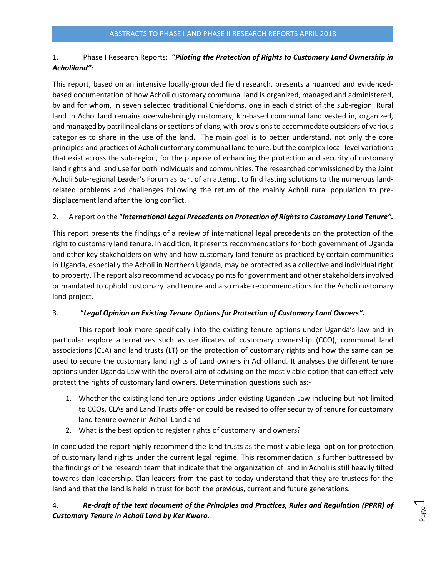### 1. Phase I Research Reports: "*Piloting the Protection of Rights to Customary Land Ownership in Acholiland"*:

This report, based on an intensive locally-grounded field research, presents a nuanced and evidencedbased documentation of how Acholi customary communal land is organized, managed and administered, by and for whom, in seven selected traditional Chiefdoms, one in each district of the sub-region. Rural land in Acholiland remains overwhelmingly customary, kin-based communal land vested in, organized, and managed by patrilineal clans or sections of clans, with provisions to accommodate outsiders of various categories to share in the use of the land. The main goal is to better understand, not only the core principles and practices of Acholi customary communal land tenure, but the complex local-level variations that exist across the sub-region, for the purpose of enhancing the protection and security of customary land rights and land use for both individuals and communities. The researched commissioned by the Joint Acholi Sub-regional Leader's Forum as part of an attempt to find lasting solutions to the numerous landrelated problems and challenges following the return of the mainly Acholi rural population to predisplacement land after the long conflict.

#### 2. A report on the "*International Legal Precedents on Protection of Rights to Customary Land Tenure".*

This report presents the findings of a review of international legal precedents on the protection of the right to customary land tenure. In addition, it presents recommendations for both government of Uganda and other key stakeholders on why and how customary land tenure as practiced by certain communities in Uganda, especially the Acholi in Northern Uganda, may be protected as a collective and individual right to property. The report also recommend advocacy points for government and other stakeholders involved or mandated to uphold customary land tenure and also make recommendations for the Acholi customary land project.

#### 3. "*Legal Opinion on Existing Tenure Options for Protection of Customary Land Owners".*

This report look more specifically into the existing tenure options under Uganda's law and in particular explore alternatives such as certificates of customary ownership (CCO), communal land associations (CLA) and land trusts (LT) on the protection of customary rights and how the same can be used to secure the customary land rights of Land owners in Acholiland. It analyses the different tenure options under Uganda Law with the overall aim of advising on the most viable option that can effectively protect the rights of customary land owners. Determination questions such as:-

- 1. Whether the existing land tenure options under existing Ugandan Law including but not limited to CCOs, CLAs and Land Trusts offer or could be revised to offer security of tenure for customary land tenure owner in Acholi Land and
- 2. What is the best option to register rights of customary land owners?

In concluded the report highly recommend the land trusts as the most viable legal option for protection of customary land rights under the current legal regime. This recommendation is further buttressed by the findings of the research team that indicate that the organization of land in Acholi is still heavily tilted towards clan leadership. Clan leaders from the past to today understand that they are trustees for the land and that the land is held in trust for both the previous, current and future generations.

# 4. *Re-draft of the text document of the Principles and Practices, Rules and Regulation (PPRR) of Customary Tenure in Acholi Land by Ker Kwaro*.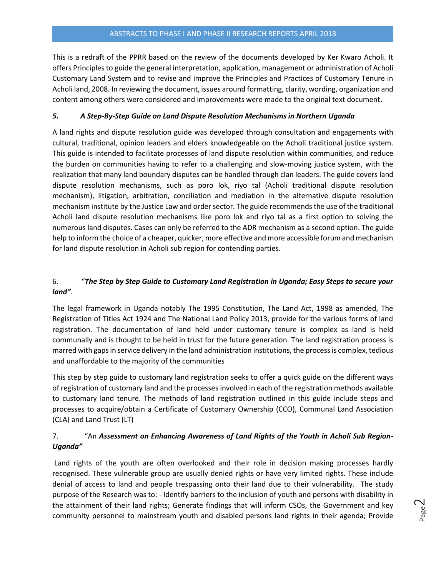This is a redraft of the PPRR based on the review of the documents developed by Ker Kwaro Acholi. It offers Principles to guide the general interpretation, application, management or administration of Acholi Customary Land System and to revise and improve the Principles and Practices of Customary Tenure in Acholi land, 2008. In reviewing the document, issues around formatting, clarity, wording, organization and content among others were considered and improvements were made to the original text document.

#### *5. A Step-By-Step Guide on Land Dispute Resolution Mechanisms in Northern Uganda*

A land rights and dispute resolution guide was developed through consultation and engagements with cultural, traditional, opinion leaders and elders knowledgeable on the Acholi traditional justice system. This guide is intended to facilitate processes of land dispute resolution within communities, and reduce the burden on communities having to refer to a challenging and slow-moving justice system, with the realization that many land boundary disputes can be handled through clan leaders. The guide covers land dispute resolution mechanisms, such as poro lok, riyo tal (Acholi traditional dispute resolution mechanism), litigation, arbitration, conciliation and mediation in the alternative dispute resolution mechanism institute by the Justice Law and order sector. The guide recommends the use of the traditional Acholi land dispute resolution mechanisms like poro lok and riyo tal as a first option to solving the numerous land disputes. Cases can only be referred to the ADR mechanism as a second option. The guide help to inform the choice of a cheaper, quicker, more effective and more accessible forum and mechanism for land dispute resolution in Acholi sub region for contending parties.

### 6. "*The Step by Step Guide to Customary Land Registration in Uganda; Easy Steps to secure your land"*.

The legal framework in Uganda notably The 1995 Constitution, The Land Act, 1998 as amended, The Registration of Titles Act 1924 and The National Land Policy 2013, provide for the various forms of land registration. The documentation of land held under customary tenure is complex as land is held communally and is thought to be held in trust for the future generation. The land registration process is marred with gaps in service delivery in the land administration institutions, the process is complex, tedious and unaffordable to the majority of the communities

This step by step guide to customary land registration seeks to offer a quick guide on the different ways of registration of customary land and the processes involved in each of the registration methods available to customary land tenure. The methods of land registration outlined in this guide include steps and processes to acquire/obtain a Certificate of Customary Ownership (CCO), Communal Land Association (CLA) and Land Trust (LT)

### 7. "An *Assessment on Enhancing Awareness of Land Rights of the Youth in Acholi Sub Region-Uganda"*

Land rights of the youth are often overlooked and their role in decision making processes hardly recognised. These vulnerable group are usually denied rights or have very limited rights. These include denial of access to land and people trespassing onto their land due to their vulnerability. The study purpose of the Research was to: - Identify barriers to the inclusion of youth and persons with disability in the attainment of their land rights; Generate findings that will inform CSOs, the Government and key community personnel to mainstream youth and disabled persons land rights in their agenda; Provide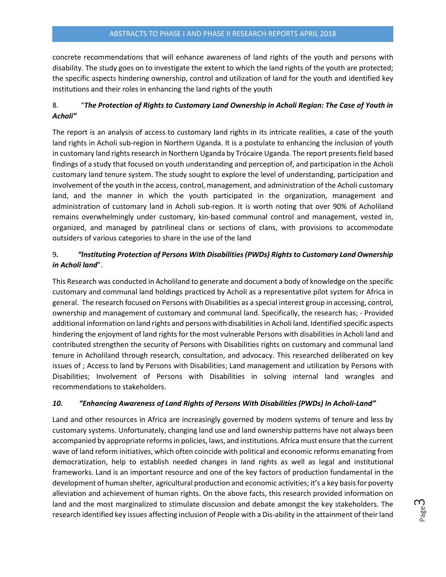concrete recommendations that will enhance awareness of land rights of the youth and persons with disability. The study goes on to investigate the extent to which the land rights of the youth are protected; the specific aspects hindering ownership, control and utilization of land for the youth and identified key institutions and their roles in enhancing the land rights of the youth

## 8. "*The Protection of Rights to Customary Land Ownership in Acholi Region: The Case of Youth in Acholi"*

The report is an analysis of access to customary land rights in its intricate realities, a case of the youth land rights in Acholi sub-region in Northern Uganda. It is a postulate to enhancing the inclusion of youth in customary land rights research in Northern Uganda by Trócaire Uganda. The report presents field based findings of a study that focused on youth understanding and perception of, and participation in the Acholi customary land tenure system. The study sought to explore the level of understanding, participation and involvement of the youth in the access, control, management, and administration of the Acholi customary land, and the manner in which the youth participated in the organization, management and administration of customary land in Acholi sub-region. It is worth noting that over 90% of Acholiland remains overwhelmingly under customary, kin-based communal control and management, vested in, organized, and managed by patrilineal clans or sections of clans, with provisions to accommodate outsiders of various categories to share in the use of the land

## 9*. "Instituting Protection of Persons With Disabilities (PWDs) Rights to Customary Land Ownership in Acholi land*".

This Research was conducted in Acholiland to generate and document a body of knowledge on the specific customary and communal land holdings practiced by Acholi as a representative pilot system for Africa in general. The research focused on Persons with Disabilities as a special interest group in accessing, control, ownership and management of customary and communal land. Specifically, the research has; - Provided additional information on land rights and persons with disabilities in Acholi land. Identified specific aspects hindering the enjoyment of land rights for the most vulnerable Persons with disabilities in Acholi land and contributed strengthen the security of Persons with Disabilities rights on customary and communal land tenure in Acholiland through research, consultation, and advocacy. This researched deliberated on key issues of ; Access to land by Persons with Disabilities; Land management and utilization by Persons with Disabilities; Involvement of Persons with Disabilities in solving internal land wrangles and recommendations to stakeholders.

#### *10. "Enhancing Awareness of Land Rights of Persons With Disabilities (PWDs) In Acholi-Land"*

Land and other resources in Africa are increasingly governed by modern systems of tenure and less by customary systems. Unfortunately, changing land use and land ownership patterns have not always been accompanied by appropriate reforms in policies, laws, and institutions. Africa must ensure that the current wave of land reform initiatives, which often coincide with political and economic reforms emanating from democratization, help to establish needed changes in land rights as well as legal and institutional frameworks. Land is an important resource and one of the key factors of production fundamental in the development of human shelter, agricultural production and economic activities; it's a key basis for poverty alleviation and achievement of human rights. On the above facts, this research provided information on land and the most marginalized to stimulate discussion and debate amongst the key stakeholders. The research identified key issues affecting inclusion of People with a Dis-ability in the attainment of their land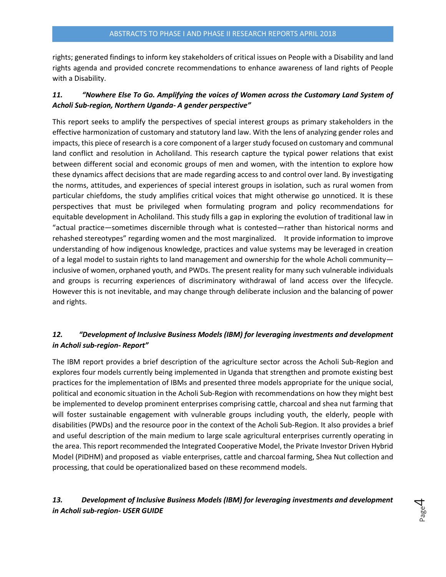rights; generated findings to inform key stakeholders of critical issues on People with a Disability and land rights agenda and provided concrete recommendations to enhance awareness of land rights of People with a Disability.

### *11. "Nowhere Else To Go. Amplifying the voices of Women across the Customary Land System of Acholi Sub-region, Northern Uganda- A gender perspective"*

This report seeks to amplify the perspectives of special interest groups as primary stakeholders in the effective harmonization of customary and statutory land law. With the lens of analyzing gender roles and impacts, this piece of research is a core component of a larger study focused on customary and communal land conflict and resolution in Acholiland. This research capture the typical power relations that exist between different social and economic groups of men and women, with the intention to explore how these dynamics affect decisions that are made regarding access to and control over land. By investigating the norms, attitudes, and experiences of special interest groups in isolation, such as rural women from particular chiefdoms, the study amplifies critical voices that might otherwise go unnoticed. It is these perspectives that must be privileged when formulating program and policy recommendations for equitable development in Acholiland. This study fills a gap in exploring the evolution of traditional law in "actual practice—sometimes discernible through what is contested—rather than historical norms and rehashed stereotypes" regarding women and the most marginalized. It provide information to improve understanding of how indigenous knowledge, practices and value systems may be leveraged in creation of a legal model to sustain rights to land management and ownership for the whole Acholi community inclusive of women, orphaned youth, and PWDs. The present reality for many such vulnerable individuals and groups is recurring experiences of discriminatory withdrawal of land access over the lifecycle. However this is not inevitable, and may change through deliberate inclusion and the balancing of power and rights.

# *12. "Development of Inclusive Business Models (IBM) for leveraging investments and development in Acholi sub-region- Report"*

The IBM report provides a brief description of the agriculture sector across the Acholi Sub-Region and explores four models currently being implemented in Uganda that strengthen and promote existing best practices for the implementation of IBMs and presented three models appropriate for the unique social, political and economic situation in the Acholi Sub-Region with recommendations on how they might best be implemented to develop prominent enterprises comprising cattle, charcoal and shea nut farming that will foster sustainable engagement with vulnerable groups including youth, the elderly, people with disabilities (PWDs) and the resource poor in the context of the Acholi Sub-Region. It also provides a brief and useful description of the main medium to large scale agricultural enterprises currently operating in the area. This report recommended the Integrated Cooperative Model, the Private Investor Driven Hybrid Model (PIDHM) and proposed as viable enterprises, cattle and charcoal farming, Shea Nut collection and processing, that could be operationalized based on these recommend models.

## *13. Development of Inclusive Business Models (IBM) for leveraging investments and development in Acholi sub-region- USER GUIDE*